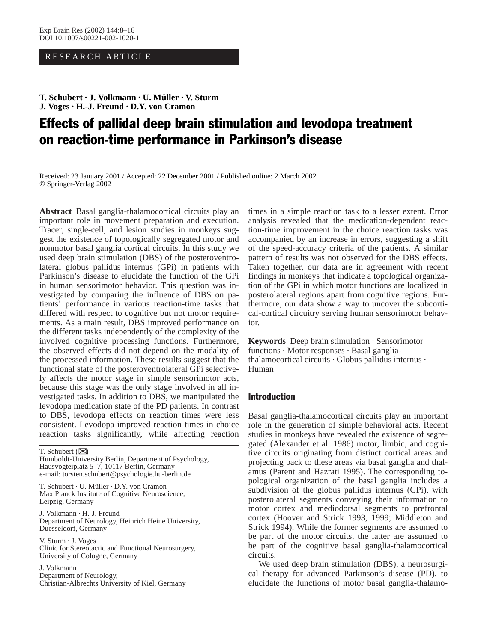# RESEARCH ARTICLE

**T. Schubert · J. Volkmann · U. Müller · V. Sturm J. Voges · H.-J. Freund · D.Y. von Cramon**

# Effects of pallidal deep brain stimulation and levodopa treatment on reaction-time performance in Parkinson's disease

Received: 23 January 2001 / Accepted: 22 December 2001 / Published online: 2 March 2002 © Springer-Verlag 2002

**Abstract** Basal ganglia-thalamocortical circuits play an important role in movement preparation and execution. Tracer, single-cell, and lesion studies in monkeys suggest the existence of topologically segregated motor and nonmotor basal ganglia cortical circuits. In this study we used deep brain stimulation (DBS) of the posteroventrolateral globus pallidus internus (GPi) in patients with Parkinson's disease to elucidate the function of the GPi in human sensorimotor behavior. This question was investigated by comparing the influence of DBS on patients' performance in various reaction-time tasks that differed with respect to cognitive but not motor requirements. As a main result, DBS improved performance on the different tasks independently of the complexity of the involved cognitive processing functions. Furthermore, the observed effects did not depend on the modality of the processed information. These results suggest that the functional state of the posteroventrolateral GPi selectively affects the motor stage in simple sensorimotor acts, because this stage was the only stage involved in all investigated tasks. In addition to DBS, we manipulated the levodopa medication state of the PD patients. In contrast to DBS, levodopa effects on reaction times were less consistent. Levodopa improved reaction times in choice reaction tasks significantly, while affecting reaction

T. Schubert  $(\mathbb{Z})$ Humboldt-University Berlin, Department of Psychology, Hausvogteiplatz 5–7, 10117 Berlin, Germany e-mail: torsten.schubert@psychologie.hu-berlin.de

T. Schubert · U. Müller · D.Y. von Cramon Max Planck Institute of Cognitive Neuroscience, Leipzig, Germany

J. Volkmann · H.-J. Freund Department of Neurology, Heinrich Heine University, Duesseldorf, Germany

V. Sturm · J. Voges Clinic for Stereotactic and Functional Neurosurgery, University of Cologne, Germany

J. Volkmann Department of Neurology, Christian-Albrechts University of Kiel, Germany

times in a simple reaction task to a lesser extent. Error analysis revealed that the medication-dependent reaction-time improvement in the choice reaction tasks was accompanied by an increase in errors, suggesting a shift of the speed-accuracy criteria of the patients. A similar pattern of results was not observed for the DBS effects. Taken together, our data are in agreement with recent findings in monkeys that indicate a topological organization of the GPi in which motor functions are localized in posterolateral regions apart from cognitive regions. Furthermore, our data show a way to uncover the subcortical-cortical circuitry serving human sensorimotor behavior.

**Keywords** Deep brain stimulation · Sensorimotor functions · Motor responses · Basal gangliathalamocortical circuits · Globus pallidus internus · Human

# Introduction

Basal ganglia-thalamocortical circuits play an important role in the generation of simple behavioral acts. Recent studies in monkeys have revealed the existence of segregated (Alexander et al. 1986) motor, limbic, and cognitive circuits originating from distinct cortical areas and projecting back to these areas via basal ganglia and thalamus (Parent and Hazrati 1995). The corresponding topological organization of the basal ganglia includes a subdivision of the globus pallidus internus (GPi), with posterolateral segments conveying their information to motor cortex and mediodorsal segments to prefrontal cortex (Hoover and Strick 1993, 1999; Middleton and Strick 1994). While the former segments are assumed to be part of the motor circuits, the latter are assumed to be part of the cognitive basal ganglia-thalamocortical circuits.

We used deep brain stimulation (DBS), a neurosurgical therapy for advanced Parkinson's disease (PD), to elucidate the functions of motor basal ganglia-thalamo-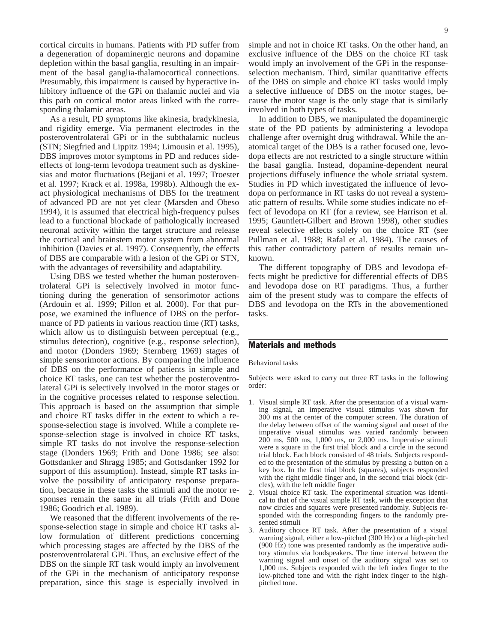cortical circuits in humans. Patients with PD suffer from a degeneration of dopaminergic neurons and dopamine depletion within the basal ganglia, resulting in an impairment of the basal ganglia-thalamocortical connections. Presumably, this impairment is caused by hyperactive inhibitory influence of the GPi on thalamic nuclei and via this path on cortical motor areas linked with the corresponding thalamic areas.

As a result, PD symptoms like akinesia, bradykinesia, and rigidity emerge. Via permanent electrodes in the posteroventrolateral GPi or in the subthalamic nucleus (STN; Siegfried and Lippitz 1994; Limousin et al. 1995), DBS improves motor symptoms in PD and reduces sideeffects of long-term levodopa treatment such as dyskinesias and motor fluctuations (Bejjani et al. 1997; Troester et al. 1997; Krack et al. 1998a, 1998b). Although the exact physiological mechanisms of DBS for the treatment of advanced PD are not yet clear (Marsden and Obeso 1994), it is assumed that electrical high-frequency pulses lead to a functional blockade of pathologically increased neuronal activity within the target structure and release the cortical and brainstem motor system from abnormal inhibition (Davies et al. 1997). Consequently, the effects of DBS are comparable with a lesion of the GPi or STN, with the advantages of reversibility and adaptability.

Using DBS we tested whether the human posteroventrolateral GPi is selectively involved in motor functioning during the generation of sensorimotor actions (Ardouin et al. 1999; Pillon et al. 2000). For that purpose, we examined the influence of DBS on the performance of PD patients in various reaction time (RT) tasks, which allow us to distinguish between perceptual (e.g., stimulus detection), cognitive (e.g., response selection), and motor (Donders 1969; Sternberg 1969) stages of simple sensorimotor actions. By comparing the influence of DBS on the performance of patients in simple and choice RT tasks, one can test whether the posteroventrolateral GPi is selectively involved in the motor stages or in the cognitive processes related to response selection. This approach is based on the assumption that simple and choice RT tasks differ in the extent to which a response-selection stage is involved. While a complete response-selection stage is involved in choice RT tasks, simple RT tasks do not involve the response-selection stage (Donders 1969; Frith and Done 1986; see also: Gottsdanker and Shragg 1985; and Gottsdanker 1992 for support of this assumption). Instead, simple RT tasks involve the possibility of anticipatory response preparation, because in these tasks the stimuli and the motor responses remain the same in all trials (Frith and Done 1986; Goodrich et al. 1989).

We reasoned that the different involvements of the response-selection stage in simple and choice RT tasks allow formulation of different predictions concerning which processing stages are affected by the DBS of the posteroventrolateral GPi. Thus, an exclusive effect of the DBS on the simple RT task would imply an involvement of the GPi in the mechanism of anticipatory response preparation, since this stage is especially involved in simple and not in choice RT tasks. On the other hand, an exclusive influence of the DBS on the choice RT task would imply an involvement of the GPi in the responseselection mechanism. Third, similar quantitative effects of the DBS on simple and choice RT tasks would imply a selective influence of DBS on the motor stages, because the motor stage is the only stage that is similarly involved in both types of tasks.

In addition to DBS, we manipulated the dopaminergic state of the PD patients by administering a levodopa challenge after overnight drug withdrawal. While the anatomical target of the DBS is a rather focused one, levodopa effects are not restricted to a single structure within the basal ganglia. Instead, dopamine-dependent neural projections diffusely influence the whole striatal system. Studies in PD which investigated the influence of levodopa on performance in RT tasks do not reveal a systematic pattern of results. While some studies indicate no effect of levodopa on RT (for a review, see Harrison et al. 1995; Gauntlett-Gilbert and Brown 1998), other studies reveal selective effects solely on the choice RT (see Pullman et al. 1988; Rafal et al. 1984). The causes of this rather contradictory pattern of results remain unknown.

The different topography of DBS and levodopa effects might be predictive for differential effects of DBS and levodopa dose on RT paradigms. Thus, a further aim of the present study was to compare the effects of DBS and levodopa on the RTs in the abovementioned tasks.

# Materials and methods

Behavioral tasks

Subjects were asked to carry out three RT tasks in the following order:

- 1. Visual simple RT task. After the presentation of a visual warning signal, an imperative visual stimulus was shown for 300 ms at the center of the computer screen. The duration of the delay between offset of the warning signal and onset of the imperative visual stimulus was varied randomly between 200 ms, 500 ms, 1,000 ms, or 2,000 ms. Imperative stimuli were a square in the first trial block and a circle in the second trial block. Each block consisted of 48 trials. Subjects responded to the presentation of the stimulus by pressing a button on a key box. In the first trial block (squares), subjects responded with the right middle finger and, in the second trial block (circles), with the left middle finger
- 2. Visual choice RT task. The experimental situation was identical to that of the visual simple RT task, with the exception that now circles and squares were presented randomly. Subjects responded with the corresponding fingers to the randomly presented stimuli
- 3. Auditory choice RT task. After the presentation of a visual warning signal, either a low-pitched (300 Hz) or a high-pitched (900 Hz) tone was presented randomly as the imperative auditory stimulus via loudspeakers. The time interval between the warning signal and onset of the auditory signal was set to 1,000 ms. Subjects responded with the left index finger to the low-pitched tone and with the right index finger to the highpitched tone.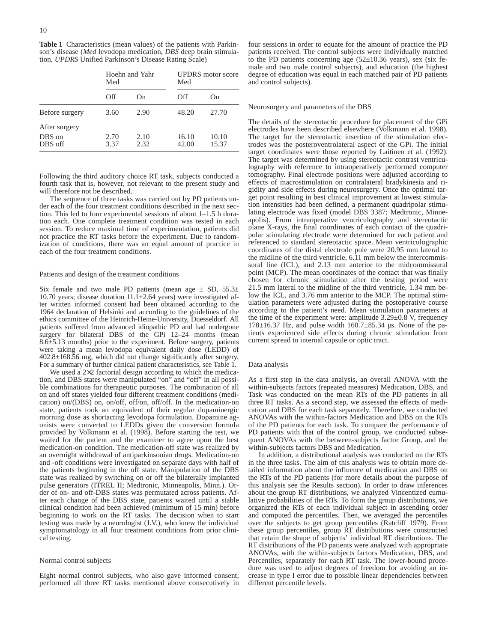**Table 1** Characteristics (mean values) of the patients with Parkinson's disease (*Med* levodopa medication, *DBS* deep brain stimulation, *UPDRS* Unified Parkinson's Disease Rating Scale)

|                                    | Hoehn and Yahr<br>Med |              | <b>UPDRS</b> motor score<br>Med |                |  |
|------------------------------------|-----------------------|--------------|---------------------------------|----------------|--|
|                                    | Off                   | On           | Off                             | On)            |  |
| Before surgery                     | 3.60                  | 2.90         | 48.20                           | 27.70          |  |
| After surgery<br>DBS on<br>DBS off | 2.70<br>3.37          | 2.10<br>2.32 | 16.10<br>42.00                  | 10.10<br>15.37 |  |

Following the third auditory choice RT task, subjects conducted a fourth task that is, however, not relevant to the present study and will therefore not be described.

The sequence of three tasks was carried out by PD patients under each of the four treatment conditions described in the next section. This led to four experimental sessions of about 1–1.5 h duration each. One complete treatment condition was tested in each session. To reduce maximal time of experimentation, patients did not practice the RT tasks before the experiment. Due to randomization of conditions, there was an equal amount of practice in each of the four treatment conditions.

#### Patients and design of the treatment conditions

Six female and two male PD patients (mean age  $\pm$  SD, 55.3 $\pm$ 10.70 years; disease duration  $11.\overline{1} \pm 2.64$  years) were investigated after written informed consent had been obtained according to the 1964 declaration of Helsinki and according to the guidelines of the ethics committee of the Heinrich-Heine-University, Duesseldorf. All patients suffered from advanced idiopathic PD and had undergone surgery for bilateral DBS of the GPi 12-24 months (mean  $8.6 \pm 5.13$  months) prior to the experiment. Before surgery, patients were taking a mean levodopa equivalent daily dose (LEDD) of 402.8±168.56 mg, which did not change significantly after surgery. For a summary of further clinical patient characteristics, see Table 1.

We used a  $2\times2$  factorial design according to which the medication, and DBS states were manipulated "on" and "off" in all possible combinations for therapeutic purposes. The combination of all on and off states yielded four different treatment conditions (medication) on/(DBS) on, on/off, off/on, off/off. In the medication-on state, patients took an equivalent of their regular dopaminergic morning dose as shortacting levodopa formulation. Dopamine agonists were converted to LEDDs given the conversion formula provided by Volkmann et al. (1998). Before starting the test, we waited for the patient and the examiner to agree upon the best medication-on condition. The medication-off state was realized by an overnight withdrawal of antiparkinsonian drugs. Medication-on and -off conditions were investigated on separate days with half of the patients beginning in the off state. Manipulation of the DBS state was realized by switching on or off the bilaterally implanted pulse generators (ITREL II; Medtronic, Minneapolis, Minn.). Order of on- and off-DBS states was permutated across patients. After each change of the DBS state, patients waited until a stable clinical condition had been achieved (minimum of 15 min) before beginning to work on the RT tasks. The decision when to start testing was made by a neurologist (J.V.), who knew the individual symptomatology in all four treatment conditions from prior clinical testing.

#### Normal control subjects

Eight normal control subjects, who also gave informed consent, performed all three RT tasks mentioned above consecutively in four sessions in order to equate for the amount of practice the PD patients received. The control subjects were individually matched to the PD patients concerning age  $(52\pm10.36 \text{ years})$ , sex (six female and two male control subjects), and education (the highest degree of education was equal in each matched pair of PD patients and control subjects).

#### Neurosurgery and parameters of the DBS

The details of the stereotactic procedure for placement of the GPi electrodes have been described elsewhere (Volkmann et al. 1998). The target for the stereotactic insertion of the stimulation electrodes was the posteroventrolateral aspect of the GPi. The initial target coordinates were those reported by Laitinen et al. (1992). The target was determined by using stereotactic contrast ventriculography with reference to intraoperatively performed computer tomography. Final electrode positions were adjusted according to effects of macrostimulation on contralateral bradykinesia and rigidity and side effects during neurosurgery. Once the optimal target point resulting in best clinical improvement at lowest stimulation intensities had been defined, a permanent quadripolar stimulating electrode was fixed (model DBS 3387; Medtronic, Minneapolis). From intraoperative ventriculography and stereotactic plane X-rays, the final coordinates of each contact of the quadripolar stimulating electrode were determined for each patient and referenced to standard stereotactic space. Mean ventriculographic coordinates of the distal electrode pole were 20.95 mm lateral to the midline of the third ventricle, 6.11 mm below the intercommissural line (ICL), and 2.13 mm anterior to the midcommissural point (MCP). The mean coordinates of the contact that was finally chosen for chronic stimulation after the testing period were 21.5 mm lateral to the midline of the third ventricle, 1.34 mm below the ICL, and 3.76 mm anterior to the MCP. The optimal stimulation parameters were adjusted during the postoperative course according to the patient's need. Mean stimulation parameters at the time of the experiment were: amplitude  $3.29 \pm 0.8$  V, frequency  $178\pm16.37$  Hz, and pulse width  $160.7\pm85.34$  µs. None of the patients experienced side effects during chronic stimulation from current spread to internal capsule or optic tract.

#### Data analysis

As a first step in the data analysis, an overall ANOVA with the within-subjects factors (repeated measures) Medication, DBS, and Task was conducted on the mean RTs of the PD patients in all three RT tasks. As a second step, we assessed the effects of medication and DBS for each task separately. Therefore, we conducted ANOVAs with the within-factors Medication and DBS on the RTs of the PD patients for each task. To compare the performance of PD patients with that of the control group, we conducted subsequent ANOVAs with the between-subjects factor Group, and the within-subjects factors DBS and Medication.

In addition, a distributional analysis was conducted on the RTs in the three tasks. The aim of this analysis was to obtain more detailed information about the influence of medication and DBS on the RTs of the PD patients (for more details about the purpose of this analysis see the Results section). In order to draw inferences about the group RT distributions, we analyzed Vincentized cumulative probabilities of the RTs. To form the group distributions, we organized the RTs of each individual subject in ascending order and computed the percentiles. Then, we averaged the percentiles over the subjects to get group percentiles (Ratcliff 1979). From these group percentiles, group RT distributions were constructed that retain the shape of subjects' individual RT distributions. The RT distributions of the PD patients were analyzed with appropriate ANOVAs, with the within-subjects factors Medication, DBS, and Percentiles, separately for each RT task. The lower-bound procedure was used to adjust degrees of freedom for avoiding an increase in type I error due to possible linear dependencies between different percentile levels.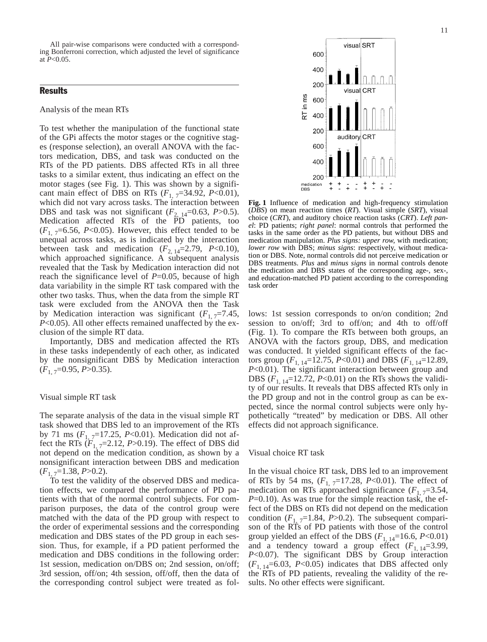All pair-wise comparisons were conducted with a corresponding Bonferroni correction, which adjusted the level of significance at *P*<0.05.

# **Results**

Analysis of the mean RTs

To test whether the manipulation of the functional state of the GPi affects the motor stages or the cognitive stages (response selection), an overall ANOVA with the factors medication, DBS, and task was conducted on the RTs of the PD patients. DBS affected RTs in all three tasks to a similar extent, thus indicating an effect on the motor stages (see Fig. 1). This was shown by a significant main effect of DBS on RTs  $(F_1, \tau=34.92, P<0.01)$ , which did not vary across tasks. The interaction between DBS and task was not significant  $(F_{2, 14}=0.63, P>0.5)$ . Medication affected RTs of the PD patients, too  $(F<sub>1, 7</sub>=6.56, P<0.05)$ . However, this effect tended to be unequal across tasks, as is indicated by the interaction between task and medication  $(F_{2, 14}=2.79, P<0.10)$ , which approached significance. A subsequent analysis revealed that the Task by Medication interaction did not reach the significance level of *P*=0.05, because of high data variability in the simple RT task compared with the other two tasks. Thus, when the data from the simple RT task were excluded from the ANOVA then the Task by Medication interaction was significant  $(F_{1,7}=7.45)$ , *P*<0.05). All other effects remained unaffected by the exclusion of the simple RT data.

Importantly, DBS and medication affected the RTs in these tasks independently of each other, as indicated by the nonsignificant DBS by Medication interaction  $(F_1$ <sub>7</sub>=0.95, *P*>0.35).

### Visual simple RT task

The separate analysis of the data in the visual simple RT task showed that DBS led to an improvement of the RTs by 71 ms  $(F_1, \tau=17.25, P<0.01)$ . Medication did not affect the RTs  $(F_1, \tau=2.12, P>0.19)$ . The effect of DBS did not depend on the medication condition, as shown by a nonsignificant interaction between DBS and medication (*F*1, 7=1.38, *P*>0.2).

To test the validity of the observed DBS and medication effects, we compared the performance of PD patients with that of the normal control subjects. For comparison purposes, the data of the control group were matched with the data of the PD group with respect to the order of experimental sessions and the corresponding medication and DBS states of the PD group in each session. Thus, for example, if a PD patient performed the medication and DBS conditions in the following order: 1st session, medication on/DBS on; 2nd session, on/off; 3rd session, off/on; 4th session, off/off, then the data of the corresponding control subject were treated as fol-



**Fig. 1** Influence of medication and high-frequency stimulation (*DBS*) on mean reaction times (*RT*). Visual simple (*SRT*), visual choice (*CRT*), and auditory choice reaction tasks (*CRT*). *Left panel*: PD patients; *right panel*: normal controls that performed the tasks in the same order as the PD patients, but without DBS and medication manipulation. *Plus signs: upper row,* with medication; *lower row* with DBS; *minus signs*: respectively, without medication or DBS. Note, normal controls did not perceive medication or DBS treatments. *Plus* and *minus signs* in normal controls denote the medication and DBS states of the corresponding age-, sex-, and education-matched PD patient according to the corresponding task order

lows: 1st session corresponds to on/on condition; 2nd session to on/off; 3rd to off/on; and 4th to off/off (Fig. 1). To compare the RTs between both groups, an ANOVA with the factors group, DBS, and medication was conducted. It yielded significant effects of the factors group ( $F_{1, 14}$ =12.75, *P*<0.01) and DBS ( $F_{1, 14}$ =12.89, *P*<0.01). The significant interaction between group and DBS  $(F_{1, 14}=12.72, P<0.01)$  on the RTs shows the validity of our results. It reveals that DBS affected RTs only in the PD group and not in the control group as can be expected, since the normal control subjects were only hypothetically "treated" by medication or DBS. All other effects did not approach significance.

### Visual choice RT task

In the visual choice RT task, DBS led to an improvement of RTs by 54 ms,  $(F_1, \tau=17.28, P<0.01)$ . The effect of medication on RTs approached significance  $(F_{1,7}=3.54,$ *P*=0.10). As was true for the simple reaction task, the effect of the DBS on RTs did not depend on the medication condition  $(F_1, \tau=1.84, P>0.2)$ . The subsequent comparison of the RTs of PD patients with those of the control group yielded an effect of the DBS  $(F_{1, 14}=16.6, P<0.01)$ and a tendency toward a group effect  $(F_{1, 14}=3.99)$ , *P*<0.07). The significant DBS by Group interaction  $(F_{1, 14}=6.03, P<0.05)$  indicates that DBS affected only the RTs of PD patients, revealing the validity of the results. No other effects were significant.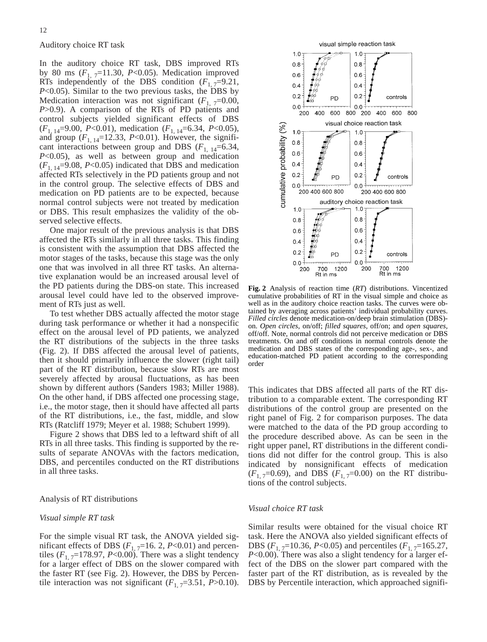## Auditory choice RT task

In the auditory choice RT task, DBS improved RTs by 80 ms  $(F_1, \tau=11.30, P<0.05)$ . Medication improved RTs independently of the DBS condition  $(F_{1,7}=9.21)$ , *P*<0.05). Similar to the two previous tasks, the DBS by Medication interaction was not significant  $(F_1, \tau=0.00,$ *P*>0.9). A comparison of the RTs of PD patients and control subjects yielded significant effects of DBS (*F*1, 14=9.00, *P*<0.01), medication (*F*1, 14=6.34, *P*<0.05), and group  $(F_{1, 14}=12.33, P<0.01)$ . However, the significant interactions between group and DBS  $(F_{1, 14}=6.34,$ *P*<0.05), as well as between group and medication  $(F_{1, 14}=9.08, P<0.05)$  indicated that DBS and medication affected RTs selectively in the PD patients group and not in the control group. The selective effects of DBS and medication on PD patients are to be expected, because normal control subjects were not treated by medication or DBS. This result emphasizes the validity of the observed selective effects.

One major result of the previous analysis is that DBS affected the RTs similarly in all three tasks. This finding is consistent with the assumption that DBS affected the motor stages of the tasks, because this stage was the only one that was involved in all three RT tasks. An alternative explanation would be an increased arousal level of the PD patients during the DBS-on state. This increased arousal level could have led to the observed improvement of RTs just as well.

To test whether DBS actually affected the motor stage during task performance or whether it had a nonspecific effect on the arousal level of PD patients, we analyzed the RT distributions of the subjects in the three tasks (Fig. 2). If DBS affected the arousal level of patients, then it should primarily influence the slower (right tail) part of the RT distribution, because slow RTs are most severely affected by arousal fluctuations, as has been shown by different authors (Sanders 1983; Miller 1988). On the other hand, if DBS affected one processing stage, i.e., the motor stage, then it should have affected all parts of the RT distributions, i.e., the fast, middle, and slow RTs (Ratcliff 1979; Meyer et al. 1988; Schubert 1999).

Figure 2 shows that DBS led to a leftward shift of all RTs in all three tasks. This finding is supported by the results of separate ANOVAs with the factors medication, DBS, and percentiles conducted on the RT distributions in all three tasks.

# Analysis of RT distributions

## *Visual simple RT task*

For the simple visual RT task, the ANOVA yielded significant effects of DBS  $(F_{1.7}=16.2, P<0.01)$  and percentiles  $(F_1$ <sub>7</sub>=178.97, *P*<0.00). There was a slight tendency for a larger effect of DBS on the slower compared with the faster RT (see Fig. 2). However, the DBS by Percentile interaction was not significant  $(F_1, \tau=3.51, P>0.10)$ .



**Fig. 2** Analysis of reaction time (*RT*) distributions. Vincentized cumulative probabilities of RT in the visual simple and choice as well as in the auditory choice reaction tasks. The curves were obtained by averaging across patients' individual probability curves. *Filled circles* denote medication-on/deep brain stimulation (DBS) on. *Open circles*, on/off; *filled squares*, off/on; and *open squares,* off/off. Note, normal controls did not perceive medication or DBS treatments. On and off conditions in normal controls denote the medication and DBS states of the corresponding age-, sex-, and education-matched PD patient according to the corresponding order

This indicates that DBS affected all parts of the RT distribution to a comparable extent. The corresponding RT distributions of the control group are presented on the right panel of Fig. 2 for comparison purposes. The data were matched to the data of the PD group according to the procedure described above. As can be seen in the right upper panel, RT distributions in the different conditions did not differ for the control group. This is also indicated by nonsignificant effects of medication  $(F_{1,7}=0.69)$ , and DBS  $(F_{1,7}=0.00)$  on the RT distributions of the control subjects.

### *Visual choice RT task*

Similar results were obtained for the visual choice RT task. Here the ANOVA also yielded significant effects of DBS  $(F_{1,7}=10.36, P<0.05)$  and percentiles  $(F_{1,7}=165.27,$ *P*<0.00). There was also a slight tendency for a larger effect of the DBS on the slower part compared with the faster part of the RT distribution, as is revealed by the DBS by Percentile interaction, which approached signifi-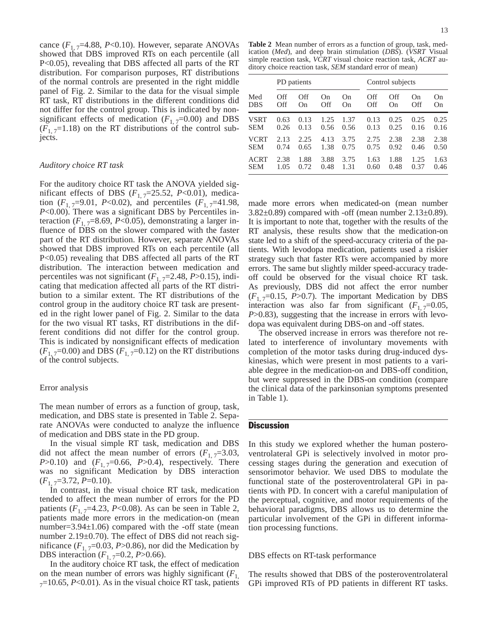cance  $(F_{1,7}=4.88, P<0.10)$ . However, separate ANOVAs showed that DBS improved RTs on each percentile (all P<0.05), revealing that DBS affected all parts of the RT distribution. For comparison purposes, RT distributions of the normal controls are presented in the right middle panel of Fig. 2. Similar to the data for the visual simple RT task, RT distributions in the different conditions did not differ for the control group. This is indicated by nonsignificant effects of medication  $(F_{1,7}=0.00)$  and DBS  $(F_{1,7}=1.18)$  on the RT distributions of the control subjects.

### *Auditory choice RT task*

For the auditory choice RT task the ANOVA yielded significant effects of DBS  $(F_1, \tau=25.52, P<0.01)$ , medication  $(F_{1,7}=9.01, P<0.02)$ , and percentiles  $(F_{1,7}=41.98,$ *P*<0.00). There was a significant DBS by Percentiles interaction  $(F_{1.7} = 8.69, P < 0.05)$ , demonstrating a larger influence of DBS on the slower compared with the faster part of the RT distribution. However, separate ANOVAs showed that DBS improved RTs on each percentile (all P<0.05) revealing that DBS affected all parts of the RT distribution. The interaction between medication and percentiles was not significant  $(F_1, \tau=2.48, P>0.15)$ , indicating that medication affected all parts of the RT distribution to a similar extent. The RT distributions of the control group in the auditory choice RT task are presented in the right lower panel of Fig. 2. Similar to the data for the two visual RT tasks, RT distributions in the different conditions did not differ for the control group. This is indicated by nonsignificant effects of medication  $(F_{1,7}=0.00)$  and DBS  $(F_{1,7}=0.12)$  on the RT distributions of the control subjects.

# Error analysis

The mean number of errors as a function of group, task, medication, and DBS state is presented in Table 2. Separate ANOVAs were conducted to analyze the influence of medication and DBS state in the PD group.

In the visual simple RT task, medication and DBS did not affect the mean number of errors  $(F_{1,7}=3.03)$ , *P*>0.10) and  $(F_{1,7}=0.66, P>0.4)$ , respectively. There was no significant Medication by DBS interaction (*F*1, 7=3.72, *P*=0.10).

In contrast, in the visual choice RT task, medication tended to affect the mean number of errors for the PD patients  $(F_1, -4.23, P<0.08)$ . As can be seen in Table 2, patients made more errors in the medication-on (mean number=3.94 $\pm$ 1.06) compared with the -off state (mean number 2.19±0.70). The effect of DBS did not reach significance  $(F_{1, 7} = 0.03, P > 0.86)$ , nor did the Medication by DBS interaction  $(F_1, \tau=0.2, P>0.66)$ .

In the auditory choice RT task, the effect of medication on the mean number of errors was highly significant  $(F_1)$ ,  $7=10.65$ , *P*<0.01). As in the visual choice RT task, patients

**Table 2** Mean number of errors as a function of group, task, medication (*Med*), and deep brain stimulation (*DBS*). (*VSRT* Visual simple reaction task, *VCRT* visual choice reaction task, *ACRT* auditory choice reaction task, *SEM* standard error of mean)

|             | PD patients |      |      |      |      | Control subjects |      |      |  |
|-------------|-------------|------|------|------|------|------------------|------|------|--|
| Med         | Off         | Off  | On   | On   | Off  | Off              | On   | On   |  |
| <b>DBS</b>  | Off         | On   | Off  | On   | Off  | On               | Off  | On   |  |
| <b>VSRT</b> | 0.63        | 0.13 | 1.25 | 1.37 | 0.13 | 0.25             | 0.25 | 0.25 |  |
| <b>SEM</b>  | 0.26        | 0.13 | 0.56 | 0.56 | 0.13 | 0.25             | 0.16 | 0.16 |  |
| <b>VCRT</b> | 2.13        | 2.25 | 4.13 | 3.75 | 2.75 | 2.38             | 2.38 | 2.38 |  |
| <b>SEM</b>  | 0.74        | 0.65 | 1.38 | 0.75 | 0.75 | 0.92             | 0.46 | 0.50 |  |
| <b>ACRT</b> | 2.38        | 1.88 | 3.88 | 3.75 | 1.63 | 1.88             | 1.25 | 1.63 |  |
| <b>SEM</b>  | 1.05        | 0.72 | 0.48 | 1.31 | 0.60 | 0.48             | 0.37 | 0.46 |  |

made more errors when medicated-on (mean number  $3.82\pm0.89$  compared with -off (mean number  $2.13\pm0.89$ ). It is important to note that, together with the results of the RT analysis, these results show that the medication-on state led to a shift of the speed-accuracy criteria of the patients. With levodopa medication, patients used a riskier strategy such that faster RTs were accompanied by more errors. The same but slightly milder speed-accuracy tradeoff could be observed for the visual choice RT task. As previously, DBS did not affect the error number  $(F_1, \tau=0.15, P>0.7)$ . The important Medication by DBS interaction was also far from significant  $(F_{1,7}=0.05,$ *P*>0.83), suggesting that the increase in errors with levodopa was equivalent during DBS-on and -off states.

The observed increase in errors was therefore not related to interference of involuntary movements with completion of the motor tasks during drug-induced dyskinesias, which were present in most patients to a variable degree in the medication-on and DBS-off condition, but were suppressed in the DBS-on condition (compare the clinical data of the parkinsonian symptoms presented in Table 1).

### **Discussion**

In this study we explored whether the human posteroventrolateral GPi is selectively involved in motor processing stages during the generation and execution of sensorimotor behavior. We used DBS to modulate the functional state of the posteroventrolateral GPi in patients with PD. In concert with a careful manipulation of the perceptual, cognitive, and motor requirements of the behavioral paradigms, DBS allows us to determine the particular involvement of the GPi in different information processing functions.

DBS effects on RT-task performance

The results showed that DBS of the posteroventrolateral GPi improved RTs of PD patients in different RT tasks.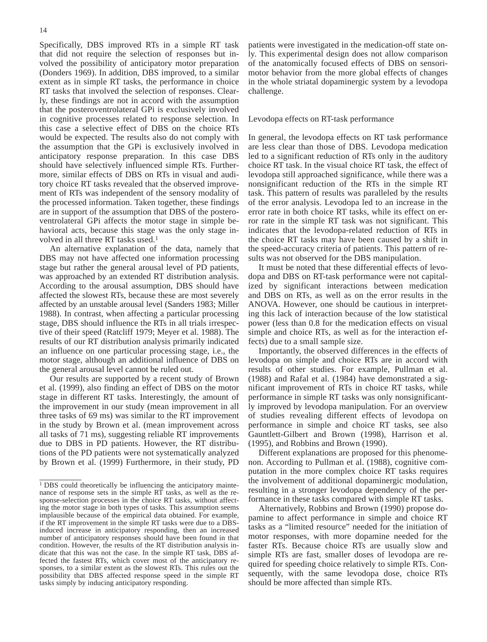Specifically, DBS improved RTs in a simple RT task that did not require the selection of responses but involved the possibility of anticipatory motor preparation (Donders 1969). In addition, DBS improved, to a similar extent as in simple RT tasks, the performance in choice RT tasks that involved the selection of responses. Clearly, these findings are not in accord with the assumption that the posteroventrolateral GPi is exclusively involved in cognitive processes related to response selection. In this case a selective effect of DBS on the choice RTs would be expected. The results also do not comply with the assumption that the GPi is exclusively involved in anticipatory response preparation. In this case DBS should have selectively influenced simple RTs. Furthermore, similar effects of DBS on RTs in visual and auditory choice RT tasks revealed that the observed improvement of RTs was independent of the sensory modality of the processed information. Taken together, these findings are in support of the assumption that DBS of the posteroventrolateral GPi affects the motor stage in simple behavioral acts, because this stage was the only stage involved in all three RT tasks used.1

An alternative explanation of the data, namely that DBS may not have affected one information processing stage but rather the general arousal level of PD patients, was approached by an extended RT distribution analysis. According to the arousal assumption, DBS should have affected the slowest RTs, because these are most severely affected by an unstable arousal level (Sanders 1983; Miller 1988). In contrast, when affecting a particular processing stage, DBS should influence the RTs in all trials irrespective of their speed (Ratcliff 1979; Meyer et al. 1988). The results of our RT distribution analysis primarily indicated an influence on one particular processing stage, i.e., the motor stage, although an additional influence of DBS on the general arousal level cannot be ruled out.

Our results are supported by a recent study of Brown et al. (1999), also finding an effect of DBS on the motor stage in different RT tasks. Interestingly, the amount of the improvement in our study (mean improvement in all three tasks of 69 ms) was similar to the RT improvement in the study by Brown et al. (mean improvement across all tasks of 71 ms), suggesting reliable RT improvements due to DBS in PD patients. However, the RT distributions of the PD patients were not systematically analyzed by Brown et al. (1999) Furthermore, in their study, PD

patients were investigated in the medication-off state only. This experimental design does not allow comparison of the anatomically focused effects of DBS on sensorimotor behavior from the more global effects of changes in the whole striatal dopaminergic system by a levodopa challenge.

# Levodopa effects on RT-task performance

In general, the levodopa effects on RT task performance are less clear than those of DBS. Levodopa medication led to a significant reduction of RTs only in the auditory choice RT task. In the visual choice RT task, the effect of levodopa still approached significance, while there was a nonsignificant reduction of the RTs in the simple RT task. This pattern of results was paralleled by the results of the error analysis. Levodopa led to an increase in the error rate in both choice RT tasks, while its effect on error rate in the simple RT task was not significant. This indicates that the levodopa-related reduction of RTs in the choice RT tasks may have been caused by a shift in the speed-accuracy criteria of patients. This pattern of results was not observed for the DBS manipulation.

It must be noted that these differential effects of levodopa and DBS on RT-task performance were not capitalized by significant interactions between medication and DBS on RTs, as well as on the error results in the ANOVA. However, one should be cautious in interpreting this lack of interaction because of the low statistical power (less than 0.8 for the medication effects on visual simple and choice RTs, as well as for the interaction effects) due to a small sample size.

Importantly, the observed differences in the effects of levodopa on simple and choice RTs are in accord with results of other studies. For example, Pullman et al. (1988) and Rafal et al. (1984) have demonstrated a significant improvement of RTs in choice RT tasks, while performance in simple RT tasks was only nonsignificantly improved by levodopa manipulation. For an overview of studies revealing different effects of levodopa on performance in simple and choice RT tasks, see also Gauntlett-Gilbert and Brown (1998), Harrison et al. (1995), and Robbins and Brown (1990).

Different explanations are proposed for this phenomenon. According to Pullman et al. (1988), cognitive computation in the more complex choice RT tasks requires the involvement of additional dopaminergic modulation, resulting in a stronger levodopa dependency of the performance in these tasks compared with simple RT tasks.

Alternatively, Robbins and Brown (1990) propose dopamine to affect performance in simple and choice RT tasks as a "limited resource" needed for the initiation of motor responses, with more dopamine needed for the faster RTs. Because choice RTs are usually slow and simple RTs are fast, smaller doses of levodopa are required for speeding choice relatively to simple RTs. Consequently, with the same levodopa dose, choice RTs should be more affected than simple RTs.

<sup>&</sup>lt;sup>1</sup> DBS could theoretically be influencing the anticipatory maintenance of response sets in the simple RT tasks, as well as the response-selection processes in the choice RT tasks, without affecting the motor stage in both types of tasks. This assumption seems implausible because of the empirical data obtained. For example, if the RT improvement in the simple RT tasks were due to a DBSinduced increase in anticipatory responding, then an increased number of anticipatory responses should have been found in that condition. However, the results of the RT distribution analysis indicate that this was not the case. In the simple RT task, DBS affected the fastest RTs, which cover most of the anticipatory responses, to a similar extent as the slowest RTs. This rules out the possibility that DBS affected response speed in the simple RT tasks simply by inducing anticipatory responding.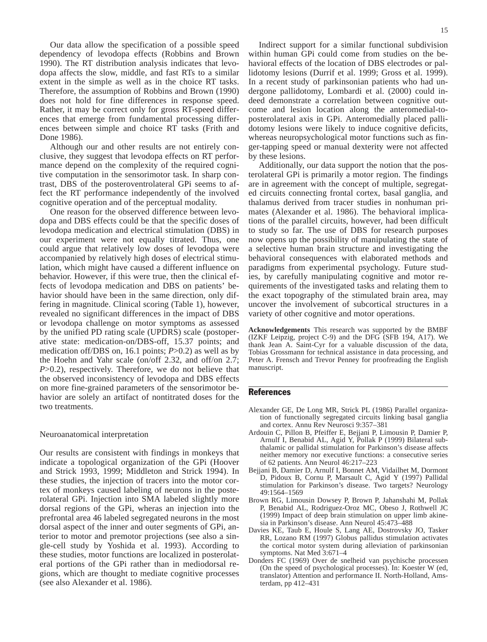Our data allow the specification of a possible speed dependency of levodopa effects (Robbins and Brown 1990). The RT distribution analysis indicates that levodopa affects the slow, middle, and fast RTs to a similar extent in the simple as well as in the choice RT tasks. Therefore, the assumption of Robbins and Brown (1990) does not hold for fine differences in response speed. Rather, it may be correct only for gross RT-speed differences that emerge from fundamental processing differences between simple and choice RT tasks (Frith and Done 1986).

Although our and other results are not entirely conclusive, they suggest that levodopa effects on RT performance depend on the complexity of the required cognitive computation in the sensorimotor task. In sharp contrast, DBS of the posteroventrolateral GPi seems to affect the RT performance independently of the involved cognitive operation and of the perceptual modality.

One reason for the observed difference between levodopa and DBS effects could be that the specific doses of levodopa medication and electrical stimulation (DBS) in our experiment were not equally titrated. Thus, one could argue that relatively low doses of levodopa were accompanied by relatively high doses of electrical stimulation, which might have caused a different influence on behavior. However, if this were true, then the clinical effects of levodopa medication and DBS on patients' behavior should have been in the same direction, only differing in magnitude. Clinical scoring (Table 1), however, revealed no significant differences in the impact of DBS or levodopa challenge on motor symptoms as assessed by the unified PD rating scale (UPDRS) scale (postoperative state: medication-on/DBS-off, 15.37 points; and medication off/DBS on, 16.1 points; *P*>0.2) as well as by the Hoehn and Yahr scale (on/off 2.32, and off/on 2.7; *P*>0.2), respectively. Therefore, we do not believe that the observed inconsistency of levodopa and DBS effects on more fine-grained parameters of the sensorimotor behavior are solely an artifact of nontitrated doses for the two treatments.

#### Neuroanatomical interpretation

Our results are consistent with findings in monkeys that indicate a topological organization of the GPi (Hoover and Strick 1993, 1999; Middleton and Strick 1994). In these studies, the injection of tracers into the motor cortex of monkeys caused labeling of neurons in the posterolateral GPi. Injection into SMA labeled slightly more dorsal regions of the GPi, wheras an injection into the prefrontal area 46 labeled segregated neurons in the most dorsal aspect of the inner and outer segments of GPi, anterior to motor and premotor projections (see also a single-cell study by Yoshida et al. 1993). According to these studies, motor functions are localized in posterolateral portions of the GPi rather than in mediodorsal regions, which are thought to mediate cognitive processes (see also Alexander et al. 1986).

Indirect support for a similar functional subdivision within human GPi could come from studies on the behavioral effects of the location of DBS electrodes or pallidotomy lesions (Durrif et al. 1999; Gross et al. 1999). In a recent study of parkinsonian patients who had undergone pallidotomy, Lombardi et al. (2000) could indeed demonstrate a correlation between cognitive outcome and lesion location along the anteromedial-toposterolateral axis in GPi. Anteromedially placed pallidotomy lesions were likely to induce cognitive deficits, whereas neuropsychological motor functions such as finger-tapping speed or manual dexterity were not affected by these lesions.

Additionally, our data support the notion that the posterolateral GPi is primarily a motor region. The findings are in agreement with the concept of multiple, segregated circuits connecting frontal cortex, basal ganglia, and thalamus derived from tracer studies in nonhuman primates (Alexander et al. 1986). The behavioral implications of the parallel circuits, however, had been difficult to study so far. The use of DBS for research purposes now opens up the possibility of manipulating the state of a selective human brain structure and investigating the behavioral consequences with elaborated methods and paradigms from experimental psychology. Future studies, by carefully manipulating cognitive and motor requirements of the investigated tasks and relating them to the exact topography of the stimulated brain area, may uncover the involvement of subcortical structures in a variety of other cognitive and motor operations.

**Acknowledgements** This research was supported by the BMBF (IZKF Leipzig, project C-9) and the DFG (SFB 194, A17). We thank Jean A. Saint-Cyr for a valuable discussion of the data, Tobias Grossmann for technical assistance in data processing, and Peter A. Frensch and Trevor Penney for proofreading the English manuscript.

# References

- Alexander GE, De Long MR, Strick PL (1986) Parallel organization of functionally segregated circuits linking basal ganglia and cortex. Annu Rev Neurosci 9:357–381
- Ardouin C, Pillon B, Pfeiffer E, Bejjani P, Limousin P, Damier P, Arnulf I, Benabid AL, Agid Y, Pollak P (1999) Bilateral subthalamic or pallidal stimulation for Parkinson's disease affects neither memory nor executive functions: a consecutive series of 62 patients. Ann Neurol 46:217–223
- Bejjani B, Damier D, Arnulf I, Bonnet AM, Vidailhet M, Dormont D, Pidoux B, Cornu P, Marsault C, Agid Y (1997) Pallidal stimulation for Parkinson's disease. Two targets? Neurology 49:1564–1569
- Brown RG, Limousin Dowsey P, Brown P, Jahanshahi M, Pollak P, Benabid AL, Rodriguez-Oroz MC, Obeso J, Rothwell JC (1999) Impact of deep brain stimulation on upper limb akinesia in Parkinson's disease. Ann Neurol 45:473–488
- Davies KE, Taub E, Houle S, Lang AE, Dostrovsky JO, Tasker RR, Lozano RM (1997) Globus pallidus stimulation activates the cortical motor system during alleviation of parkinsonian symptoms. Nat Med 3:671–4
- Donders FC (1969) Over de snelheid van psychische processen (On the speed of psychological processes). In: Koester W (ed, translator) Attention and performance II. North-Holland, Amsterdam, pp 412–431